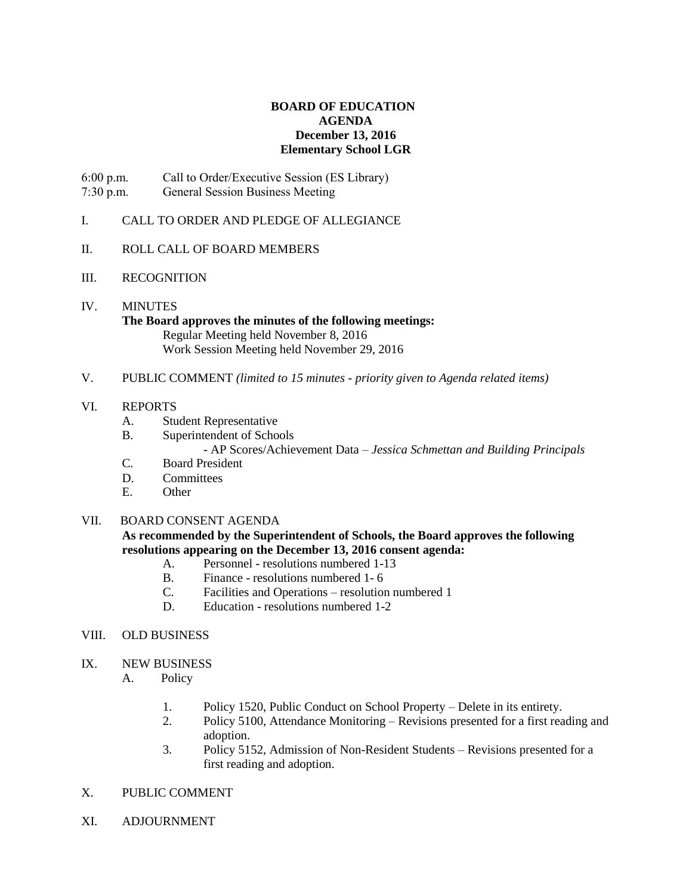## **BOARD OF EDUCATION AGENDA December 13, 2016 Elementary School LGR**

6:00 p.m. Call to Order/Executive Session (ES Library) 7:30 p.m. General Session Business Meeting

- I. CALL TO ORDER AND PLEDGE OF ALLEGIANCE
- II. ROLL CALL OF BOARD MEMBERS
- III. RECOGNITION
- IV. MINUTES

**The Board approves the minutes of the following meetings:** Regular Meeting held November 8, 2016 Work Session Meeting held November 29, 2016

V. PUBLIC COMMENT *(limited to 15 minutes - priority given to Agenda related items)*

### VI. REPORTS

- A. Student Representative
- B. Superintendent of Schools

- AP Scores/Achievement Data – *Jessica Schmettan and Building Principals*

- C. Board President
- D. Committees
- E. Other

### VII. BOARD CONSENT AGENDA

**As recommended by the Superintendent of Schools, the Board approves the following resolutions appearing on the December 13, 2016 consent agenda:**

- A. Personnel resolutions numbered 1-13
- B. Finance resolutions numbered 1- 6
- C. Facilities and Operations resolution numbered 1
- D. Education resolutions numbered 1-2
- VIII. OLD BUSINESS
- IX. NEW BUSINESS
	- A. Policy
		- 1. Policy 1520, Public Conduct on School Property Delete in its entirety.
		- 2. Policy 5100, Attendance Monitoring Revisions presented for a first reading and adoption.
		- 3. Policy 5152, Admission of Non-Resident Students Revisions presented for a first reading and adoption.
- X. PUBLIC COMMENT
- XI. ADJOURNMENT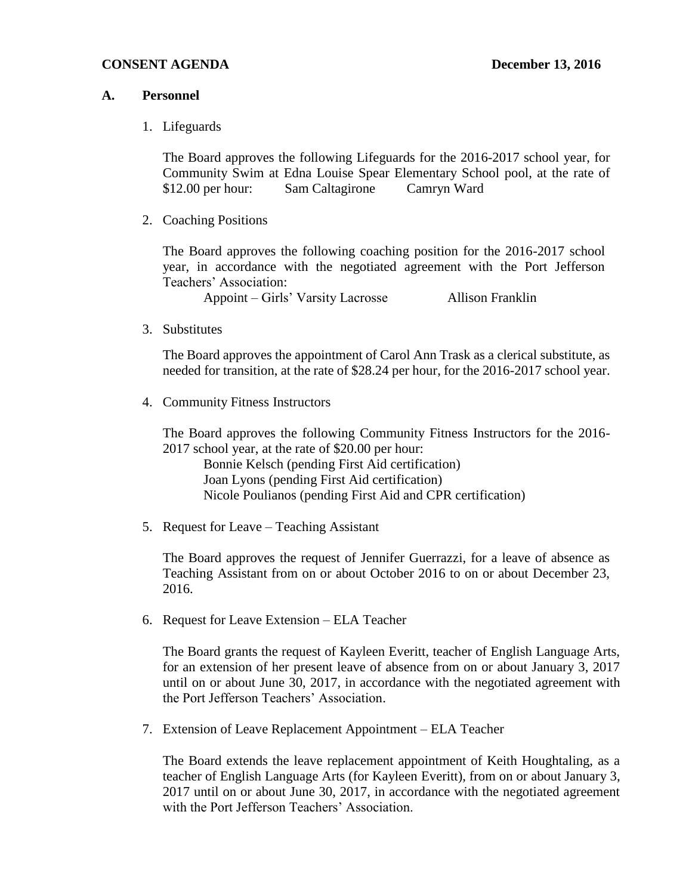## **CONSENT AGENDA December 13, 2016**

## **A. Personnel**

1. Lifeguards

The Board approves the following Lifeguards for the 2016-2017 school year, for Community Swim at Edna Louise Spear Elementary School pool, at the rate of \$12.00 per hour: Sam Caltagirone Camryn Ward

2. Coaching Positions

The Board approves the following coaching position for the 2016-2017 school year, in accordance with the negotiated agreement with the Port Jefferson Teachers' Association:

Appoint – Girls' Varsity Lacrosse Allison Franklin

3. Substitutes

The Board approves the appointment of Carol Ann Trask as a clerical substitute, as needed for transition, at the rate of \$28.24 per hour, for the 2016-2017 school year.

4. Community Fitness Instructors

The Board approves the following Community Fitness Instructors for the 2016- 2017 school year, at the rate of \$20.00 per hour:

Bonnie Kelsch (pending First Aid certification) Joan Lyons (pending First Aid certification) Nicole Poulianos (pending First Aid and CPR certification)

5. Request for Leave – Teaching Assistant

The Board approves the request of Jennifer Guerrazzi, for a leave of absence as Teaching Assistant from on or about October 2016 to on or about December 23, 2016.

6. Request for Leave Extension – ELA Teacher

The Board grants the request of Kayleen Everitt, teacher of English Language Arts, for an extension of her present leave of absence from on or about January 3, 2017 until on or about June 30, 2017, in accordance with the negotiated agreement with the Port Jefferson Teachers' Association.

7. Extension of Leave Replacement Appointment – ELA Teacher

The Board extends the leave replacement appointment of Keith Houghtaling, as a teacher of English Language Arts (for Kayleen Everitt), from on or about January 3, 2017 until on or about June 30, 2017, in accordance with the negotiated agreement with the Port Jefferson Teachers' Association.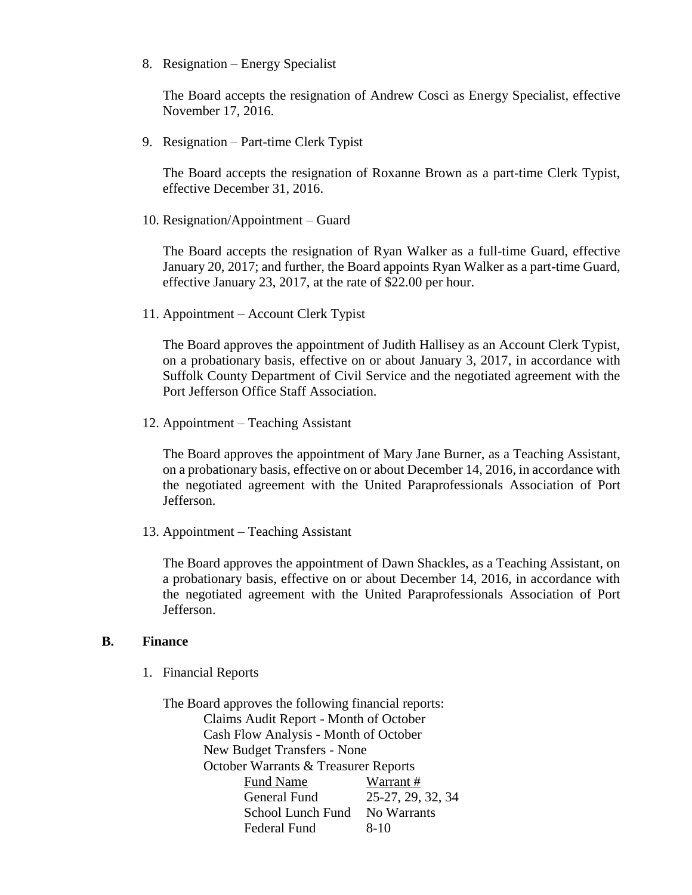8. Resignation – Energy Specialist

The Board accepts the resignation of Andrew Cosci as Energy Specialist, effective November 17, 2016.

9. Resignation – Part-time Clerk Typist

The Board accepts the resignation of Roxanne Brown as a part-time Clerk Typist, effective December 31, 2016.

10. Resignation/Appointment – Guard

The Board accepts the resignation of Ryan Walker as a full-time Guard, effective January 20, 2017; and further, the Board appoints Ryan Walker as a part-time Guard, effective January 23, 2017, at the rate of \$22.00 per hour.

11. Appointment – Account Clerk Typist

The Board approves the appointment of Judith Hallisey as an Account Clerk Typist, on a probationary basis, effective on or about January 3, 2017, in accordance with Suffolk County Department of Civil Service and the negotiated agreement with the Port Jefferson Office Staff Association.

12. Appointment – Teaching Assistant

The Board approves the appointment of Mary Jane Burner, as a Teaching Assistant, on a probationary basis, effective on or about December 14, 2016, in accordance with the negotiated agreement with the United Paraprofessionals Association of Port Jefferson.

13. Appointment – Teaching Assistant

The Board approves the appointment of Dawn Shackles, as a Teaching Assistant, on a probationary basis, effective on or about December 14, 2016, in accordance with the negotiated agreement with the United Paraprofessionals Association of Port Jefferson.

### **B. Finance**

1. Financial Reports

The Board approves the following financial reports: Claims Audit Report - Month of October Cash Flow Analysis - Month of October New Budget Transfers - None October Warrants & Treasurer Reports Fund Name Warrant # General Fund 25-27, 29, 32, 34 School Lunch Fund No Warrants Federal Fund 8-10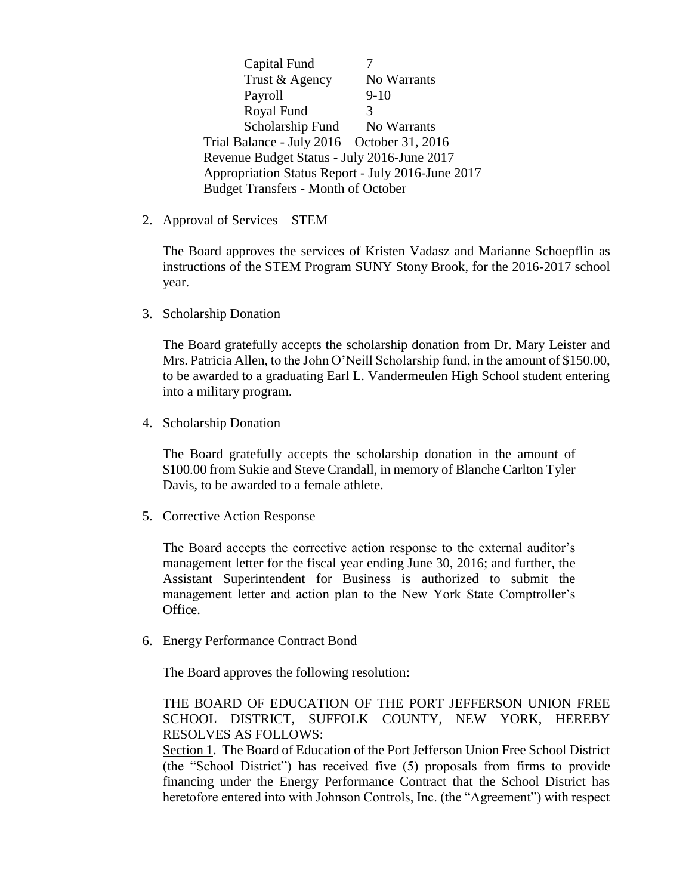Capital Fund 7 Trust & Agency No Warrants Payroll 9-10 Royal Fund 3 Scholarship Fund No Warrants Trial Balance - July 2016 – October 31, 2016 Revenue Budget Status - July 2016-June 2017 Appropriation Status Report - July 2016-June 2017 Budget Transfers - Month of October

2. Approval of Services – STEM

The Board approves the services of Kristen Vadasz and Marianne Schoepflin as instructions of the STEM Program SUNY Stony Brook, for the 2016-2017 school year.

3. Scholarship Donation

The Board gratefully accepts the scholarship donation from Dr. Mary Leister and Mrs. Patricia Allen, to the John O'Neill Scholarship fund, in the amount of \$150.00, to be awarded to a graduating Earl L. Vandermeulen High School student entering into a military program.

4. Scholarship Donation

The Board gratefully accepts the scholarship donation in the amount of \$100.00 from Sukie and Steve Crandall, in memory of Blanche Carlton Tyler Davis, to be awarded to a female athlete.

5. Corrective Action Response

The Board accepts the corrective action response to the external auditor's management letter for the fiscal year ending June 30, 2016; and further, the Assistant Superintendent for Business is authorized to submit the management letter and action plan to the New York State Comptroller's Office.

6. Energy Performance Contract Bond

The Board approves the following resolution:

THE BOARD OF EDUCATION OF THE PORT JEFFERSON UNION FREE SCHOOL DISTRICT, SUFFOLK COUNTY, NEW YORK, HEREBY RESOLVES AS FOLLOWS:

Section 1. The Board of Education of the Port Jefferson Union Free School District (the "School District") has received five (5) proposals from firms to provide financing under the Energy Performance Contract that the School District has heretofore entered into with Johnson Controls, Inc. (the "Agreement") with respect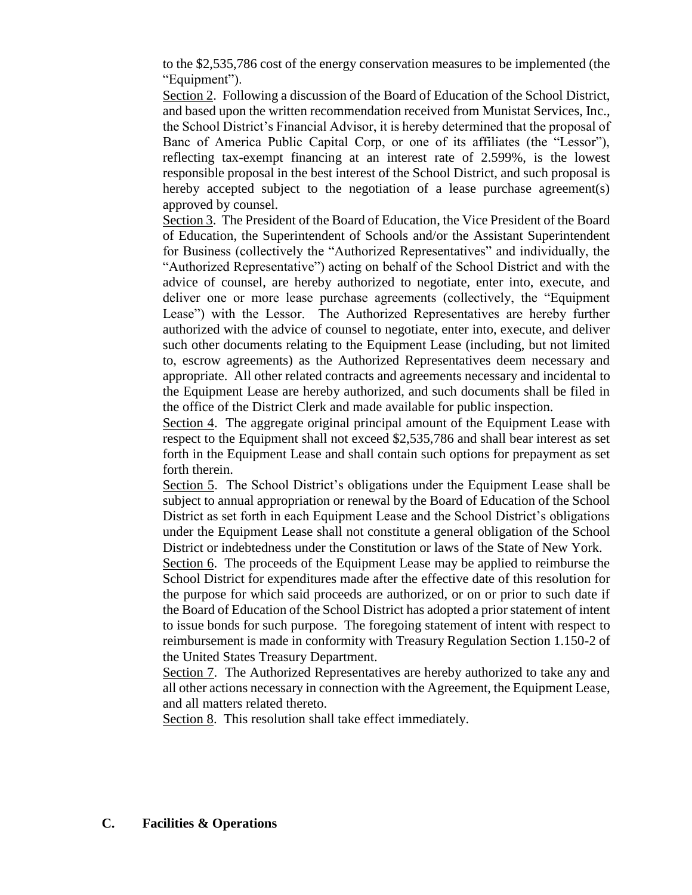to the \$2,535,786 cost of the energy conservation measures to be implemented (the "Equipment").

Section 2. Following a discussion of the Board of Education of the School District, and based upon the written recommendation received from Munistat Services, Inc., the School District's Financial Advisor, it is hereby determined that the proposal of Banc of America Public Capital Corp, or one of its affiliates (the "Lessor"), reflecting tax-exempt financing at an interest rate of 2.599%, is the lowest responsible proposal in the best interest of the School District, and such proposal is hereby accepted subject to the negotiation of a lease purchase agreement(s) approved by counsel.

Section 3. The President of the Board of Education, the Vice President of the Board of Education, the Superintendent of Schools and/or the Assistant Superintendent for Business (collectively the "Authorized Representatives" and individually, the "Authorized Representative") acting on behalf of the School District and with the advice of counsel, are hereby authorized to negotiate, enter into, execute, and deliver one or more lease purchase agreements (collectively, the "Equipment Lease") with the Lessor. The Authorized Representatives are hereby further authorized with the advice of counsel to negotiate, enter into, execute, and deliver such other documents relating to the Equipment Lease (including, but not limited to, escrow agreements) as the Authorized Representatives deem necessary and appropriate. All other related contracts and agreements necessary and incidental to the Equipment Lease are hereby authorized, and such documents shall be filed in the office of the District Clerk and made available for public inspection.

Section 4. The aggregate original principal amount of the Equipment Lease with respect to the Equipment shall not exceed \$2,535,786 and shall bear interest as set forth in the Equipment Lease and shall contain such options for prepayment as set forth therein.

Section 5. The School District's obligations under the Equipment Lease shall be subject to annual appropriation or renewal by the Board of Education of the School District as set forth in each Equipment Lease and the School District's obligations under the Equipment Lease shall not constitute a general obligation of the School District or indebtedness under the Constitution or laws of the State of New York.

Section 6. The proceeds of the Equipment Lease may be applied to reimburse the School District for expenditures made after the effective date of this resolution for the purpose for which said proceeds are authorized, or on or prior to such date if the Board of Education of the School District has adopted a prior statement of intent to issue bonds for such purpose. The foregoing statement of intent with respect to reimbursement is made in conformity with Treasury Regulation Section 1.150-2 of the United States Treasury Department.

Section 7. The Authorized Representatives are hereby authorized to take any and all other actions necessary in connection with the Agreement, the Equipment Lease, and all matters related thereto.

Section 8. This resolution shall take effect immediately.